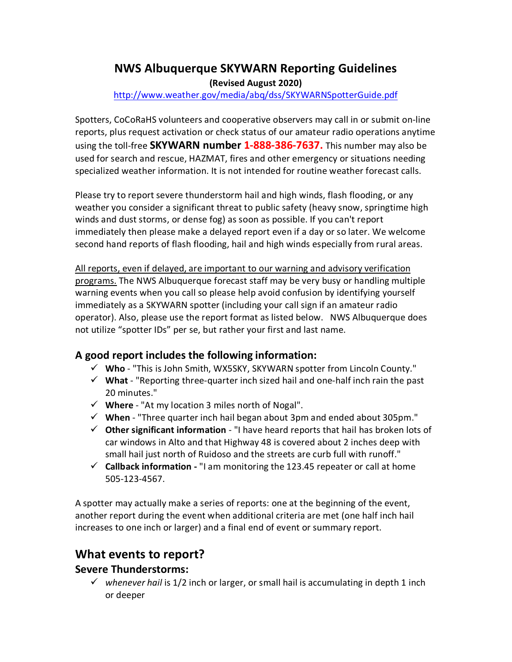## **NWS Albuquerque SKYWARN Reporting Guidelines**

**(Revised August 2020)**

#### <http://www.weather.gov/media/abq/dss/SKYWARNSpotterGuide.pdf>

Spotters, CoCoRaHS volunteers and cooperative observers may call in or submit on-line reports, plus request activation or check status of our amateur radio operations anytime using the toll-free **SKYWARN number 1-888-386-7637.** This number may also be used for search and rescue, HAZMAT, fires and other emergency or situations needing specialized weather information. It is not intended for routine weather forecast calls.

Please try to report severe thunderstorm hail and high winds, flash flooding, or any weather you consider a significant threat to public safety (heavy snow, springtime high winds and dust storms, or dense fog) as soon as possible. If you can't report immediately then please make a delayed report even if a day or so later. We welcome second hand reports of flash flooding, hail and high winds especially from rural areas.

All reports, even if delayed, are important to our warning and advisory verification programs. The NWS Albuquerque forecast staff may be very busy or handling multiple warning events when you call so please help avoid confusion by identifying yourself immediately as a SKYWARN spotter (including your call sign if an amateur radio operator). Also, please use the report format as listed below. NWS Albuquerque does not utilize "spotter IDs" per se, but rather your first and last name.

### **A good report includes the following information:**

- **Who** "This is John Smith, WX5SKY, SKYWARN spotter from Lincoln County."
- $\checkmark$  What "Reporting three-quarter inch sized hail and one-half inch rain the past 20 minutes."
- **Where** "At my location 3 miles north of Nogal".
- **When** "Three quarter inch hail began about 3pm and ended about 305pm."
- **Other significant information** "I have heard reports that hail has broken lots of car windows in Alto and that Highway 48 is covered about 2 inches deep with small hail just north of Ruidoso and the streets are curb full with runoff."
- **Callback information -** "I am monitoring the 123.45 repeater or call at home 505-123-4567.

A spotter may actually make a series of reports: one at the beginning of the event, another report during the event when additional criteria are met (one half inch hail increases to one inch or larger) and a final end of event or summary report.

# **What events to report?**

## **Severe Thunderstorms:**

 *whenever hail* is 1/2 inch or larger, or small hail is accumulating in depth 1 inch or deeper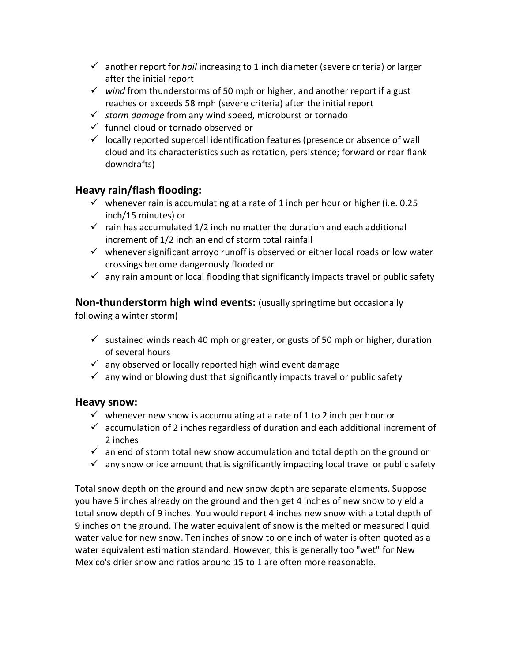- another report for *hail* increasing to 1 inch diameter (severe criteria) or larger after the initial report
- *wind* from thunderstorms of 50 mph or higher, and another report if a gust reaches or exceeds 58 mph (severe criteria) after the initial report
- *storm damage* from any wind speed, microburst or tornado
- $\checkmark$  funnel cloud or tornado observed or
- $\checkmark$  locally reported supercell identification features (presence or absence of wall cloud and its characteristics such as rotation, persistence; forward or rear flank downdrafts)

### **Heavy rain/flash flooding:**

- $\checkmark$  whenever rain is accumulating at a rate of 1 inch per hour or higher (i.e. 0.25 inch/15 minutes) or
- $\checkmark$  rain has accumulated 1/2 inch no matter the duration and each additional increment of 1/2 inch an end of storm total rainfall
- $\checkmark$  whenever significant arroyo runoff is observed or either local roads or low water crossings become dangerously flooded or
- $\checkmark$  any rain amount or local flooding that significantly impacts travel or public safety

**Non-thunderstorm high wind events:** (usually springtime but occasionally following a winter storm)

- $\checkmark$  sustained winds reach 40 mph or greater, or gusts of 50 mph or higher, duration of several hours
- $\checkmark$  any observed or locally reported high wind event damage
- $\checkmark$  any wind or blowing dust that significantly impacts travel or public safety

#### **Heavy snow:**

- $\checkmark$  whenever new snow is accumulating at a rate of 1 to 2 inch per hour or
- $\checkmark$  accumulation of 2 inches regardless of duration and each additional increment of 2 inches
- $\checkmark$  an end of storm total new snow accumulation and total depth on the ground or
- $\checkmark$  any snow or ice amount that is significantly impacting local travel or public safety

Total snow depth on the ground and new snow depth are separate elements. Suppose you have 5 inches already on the ground and then get 4 inches of new snow to yield a total snow depth of 9 inches. You would report 4 inches new snow with a total depth of 9 inches on the ground. The water equivalent of snow is the melted or measured liquid water value for new snow. Ten inches of snow to one inch of water is often quoted as a water equivalent estimation standard. However, this is generally too "wet" for New Mexico's drier snow and ratios around 15 to 1 are often more reasonable.